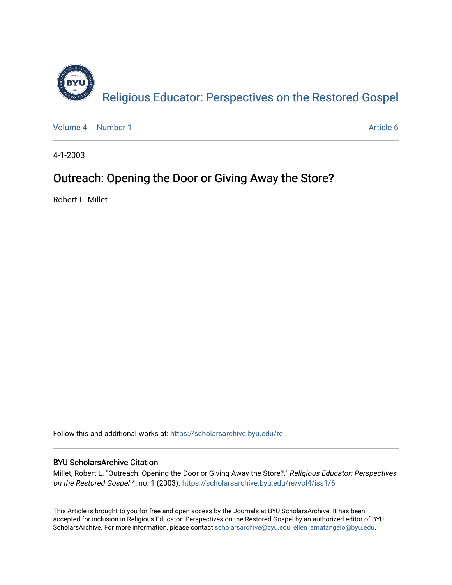

[Volume 4](https://scholarsarchive.byu.edu/re/vol4) | [Number 1](https://scholarsarchive.byu.edu/re/vol4/iss1) Article 6

4-1-2003

#### Outreach: Opening the Door or Giving Away the Store?

Robert L. Millet

Follow this and additional works at: [https://scholarsarchive.byu.edu/re](https://scholarsarchive.byu.edu/re?utm_source=scholarsarchive.byu.edu%2Fre%2Fvol4%2Fiss1%2F6&utm_medium=PDF&utm_campaign=PDFCoverPages)

#### BYU ScholarsArchive Citation

Millet, Robert L. "Outreach: Opening the Door or Giving Away the Store?." Religious Educator: Perspectives on the Restored Gospel 4, no. 1 (2003). [https://scholarsarchive.byu.edu/re/vol4/iss1/6](https://scholarsarchive.byu.edu/re/vol4/iss1/6?utm_source=scholarsarchive.byu.edu%2Fre%2Fvol4%2Fiss1%2F6&utm_medium=PDF&utm_campaign=PDFCoverPages)

This Article is brought to you for free and open access by the Journals at BYU ScholarsArchive. It has been accepted for inclusion in Religious Educator: Perspectives on the Restored Gospel by an authorized editor of BYU ScholarsArchive. For more information, please contact [scholarsarchive@byu.edu, ellen\\_amatangelo@byu.edu.](mailto:scholarsarchive@byu.edu,%20ellen_amatangelo@byu.edu)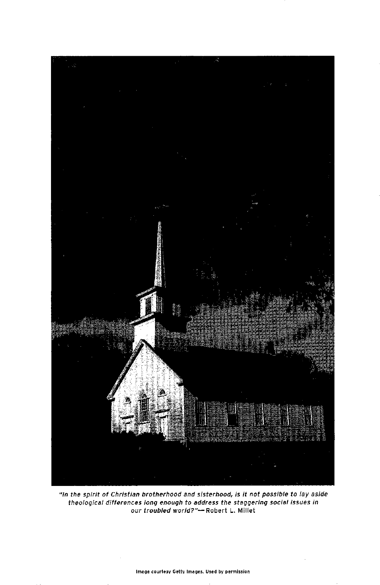

"In the spirit of Christian brotherhood and sisterhood, is it not possible to lay aside theological differences long enough to address the staggering social issues in our troubled world?"- Robert L. Millet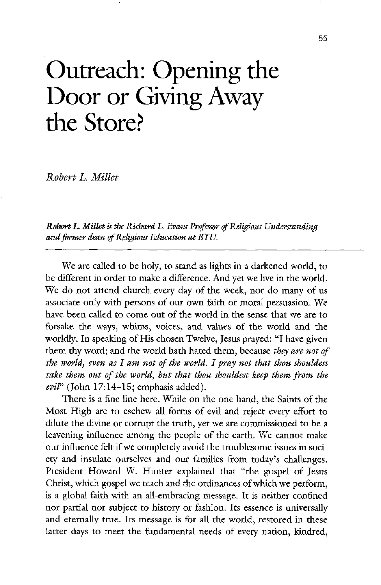# Outreach: Opening the Door or Giving Away the Store?

Robert L. Millet

Robert L. Millet is the Richard L. Evans Professor of Religious Understanding and former dean of Religious Education at BYU.

We are called to be holy, to stand as lights in a darkened world, to be different in order to make a difference. And yet we live in the world. We do not attend church every day of the week, nor do many of us associate only with persons of our own faith or moral persuasion. We have been called to come out of the world in the sense that we are to forsake the ways, whims, voices, and values of the world and the worldly. In speaking of His chosen Twelve, Jesus prayed: "I have given them thy word; and the world hath hated them, because they are not of the world, even as I am not of the world. I pray not that thou shouldest take them out of the world, but that thou shouldest keep them from the evil" (John  $17:14-15$ ; emphasis added). There is a fine line here. While on the one hand, the Saints of the most high are to eschew all forms of evil and reject every effort to dilute the divine or corrupt the truth, yet we are commissioned to be a leavening influence among the people of the earth. We cannot make our influence felt if we completely avoid the troublesome issues in society and insulate ourselves and our families from today's challenges. President Howard W. Hunter explained that "the gospel of Jesus Christ, which gospel we teach and the ordinances of which we perform, is a global faith with an all-embracing message. It is neither confined nor partial nor subject to history or fashion. Its essence is universally and eternally true. Its message is for all the world, restored in these latter days to meet the fundamental needs of every nation, kindred,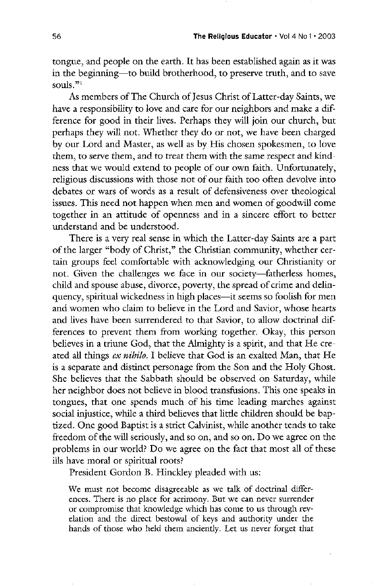tongue, and people on the earth. It has been established again as it was in the beginning—to build brotherhood, to preserve truth, and to save souls."

As members of The Church of Jesus Christ of Latter-day Saints, we have a responsibility to love and care for our neighbors and make a difference for good in their lives. Perhaps they will join our church, but perhaps they will not. Whether they do or not, we have been charged by our Lord and Master, as well as by His chosen spokesmen, to love them, to serve them, and to treat them with the same respect and kindness that we would extend to people of our own faith. Unfortunately, religious discussions with those not of our faith too often devolve into debates or wars of words as a result of defensiveness over theological issues. This need not happen when men and women of goodwill come together in an attitude of openness and in a sincere effort to better understand and be understood

There is a very real sense in which the Latter-day Saints are a part of the larger "body of Christ," the Christian community, whether certain groups feel comfortable with acknowledging our christianity or not. Given the challenges we face in our society—fatherless homes, child and spouse abuse, divorce, poverty, the spread of crime and delinquency, spiritual wickedness in high places-it seems so foolish for men and women who claim to believe in the Lord and Savior, whose hearts and lives have been surrendered to that Savior, to allow doctrinal differences to prevent them from working together. Okay, this person believes in a triune God, that the Almighty is a spirit, and that He created all things ex nihilo. I believe that God is an exalted Man, that He is a separate and distinct personage from the Son and the Holy Ghost. She believes that the Sabbath should be observed on Saturday, while her neighbor does not believe in blood transfusions. This one speaks in tongues, that one spends much of his time leading marches against social injustice, while a third believes that little children should be baptized. One good Baptist is a strict Calvinist, while another tends to take freedom of the will seriously, and so on, and so on. Do we agree on the problems in our world? Do we agree on the fact that most all of these ills have moral or spiritual roots

President Gordon B. Hinckley pleaded with us:

We must not become disagreeable as we talk of doctrinal differences. There is no place for acrimony. But we can never surrender or compromise that knowledge which has come to us through revelation and the direct bestowal of keys and authority under the hands of those who held them anciently. Let us never forget that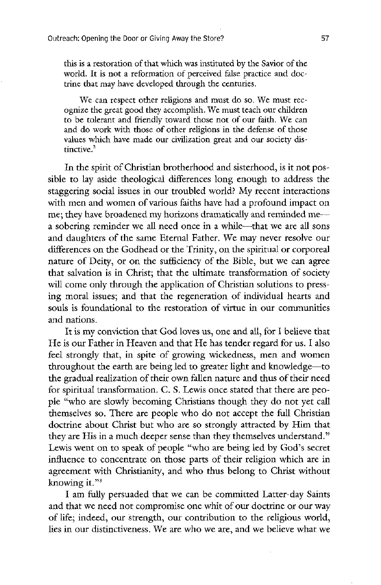this is a restoration of that which was instituted by the savior of the world. It is not a reformation of perceived false practice and doctrine that may have developed through the centuries

We can respect other religions and must do so. We must recognize the great good they accomplish. We must teach our children to be tolerant and friendly toward those not of our faith. We can and do work with those of other religions in the defense of those values which have made our civilization great and our society distinctive. $2$ 

In the spirit of Christian brotherhood and sisterhood, is it not possible to lay aside theological differences long enough to address the staggering social issues in our troubled world? My recent interactions with men and women of various faiths have had a profound impact on me; they have broadened my horizons dramatically and reminded mea sobering reminder we all need once in a while—that we are all sons and daughters of the same Eternal Father. We may never resolve our differences on the Godhead or the Trinity, on the spiritual or corporeal nature of Deity, or on the sufficiency of the Bible, but we can agree that salvation is in Christ; that the ultimate transformation of society will come only through the application of Christian solutions to press-

ing moral issues; and that the regeneration of individual hearts and souls is foundational to the restoration of virtue in our communities and nations

It is my conviction that God loves us, one and all, for I believe that He is our Father in Heaven and that He has tender regard for us. I also feel strongly that, in spite of growing wickedness, men and women throughout the earth are being led to greater light and knowledge—to the gradual realization of their own fallen nature and thus of their need for spiritual transformation. C. S. Lewis once stated that there are people who are slowly becoming christians though they do not yet call themselves so. There are people who do not accept the full Christian doctrine about Christ but who are so strongly attracted by Him that they are His in a much deeper sense than they themselves understand." Lewis went on to speak of people "who are being led by God's secret influence to concentrate on those parts of their religion which are in agreement with Christianity, and who thus belong to Christ without knowing it. $"$ <sup>3</sup>

I am fully persuaded that we can be committed Latter-day Saints and that we need not compromise one whit of our doctrine or our way of life; indeed, our strength, our contribution to the religious world, lies in our distinctiveness. We are who we are, and we believe what we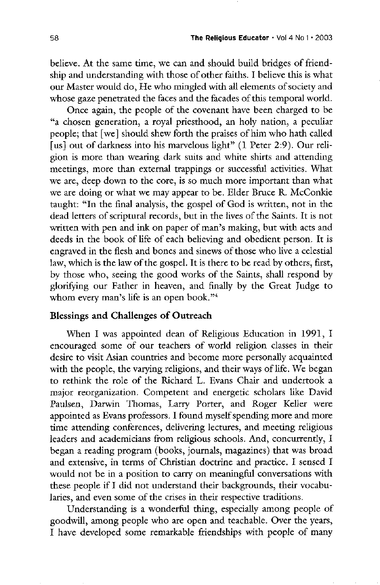believe. At the same time, we can and should build bridges of friendship and understanding with those of other faiths. I believe this is what our Master would do, He who mingled with all elements of society and whose gaze penetrated the faces and the facades of this temporal world.

Once again, the people of the covenant have been charged to be "a chosen generation, a royal priesthood, an holy nation, a peculiar people; that [we] should shew forth the praises of him who hath called [us] out of darkness into his marvelous light"  $(1$  Peter 2:9). Our religion is more than wearing dark suits and white shirts and attending meetings, more than external trappings or successful activities. What we are, deep down to the core, is so much more important than what we are doing or what we may appear to be. Elder Bruce R. McConkie taught: "In the final analysis, the gospel of God is written, not in the dead letters of scriptural records, but in the lives of the Saints. It is not written with pen and ink on paper of man's making, but with acts and deeds in the book of life of each believing and obedient person. It is engraved in the flesh and bones and sinews of those who live a celestial law, which is the law of the gospel. It is there to be read by others, first, by those who, seeing the good works of the Saints, shall respond by glorifying our Father in heaven, and finally by the Great Judge to whom every man's life is an open book." $4$ 

# Blessings and Challenges of Outreach

When I was appointed dean of Religious Education in 1991, I encouraged some of our teachers of world religion classes in their desire to visit Asian countries and become more personally acquainted with the people, the varying religions, and their ways of life. We began to rethink the role of the Richard L. Evans Chair and undertook a major reorganization. Competent and energetic scholars like David Paulsen, Darwin Thomas, Larry Porter, and Roger Keller were appointed as Evans professors. I found myself spending more and more time attending conferences, delivering lectures, and meeting religious leaders and academicians from religious schools. And, concurrently, I began a reading program (books, journals, magazines) that was broad and extensive, in terms of Christian doctrine and practice. I sensed I would not be in a position to carry on meaningful conversations with these people if I did not understand their backgrounds, their vocabularies, and even some of the crises in their respective traditions.

Understanding is a wonderful thing, especially among people of goodwill, among people who are open and teachable. Over the years, I have developed some remarkable friendships with people of many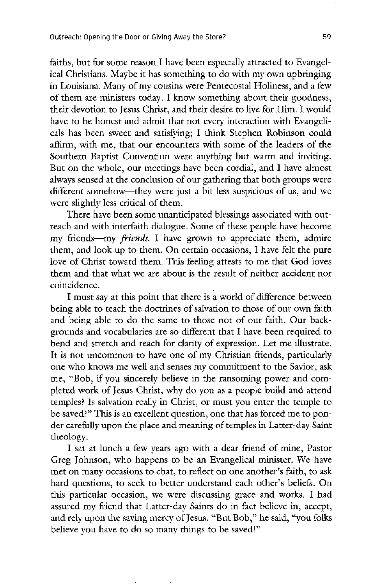faiths, but for some reason I have been especially attracted to Evangelical Christians. Maybe it has something to do with my own upbringing in Louisiana. Many of my cousins were Pentecostal Holiness, and a few of them are ministers today. I know something about their goodness, their devotion to Jesus Christ, and their desire to live for Him. I would have to be honest and admit that not every interaction with Evangelicals has been sweet and satisfying; I think Stephen Robinson could affirm, with me, that our encounters with some of the leaders of the Southern Baptist Convention were anything but warm and inviting. But on the whole, our meetings have been cordial, and I have almost always sensed at the conclusion of our gathering that both groups were different somehow—they were just a bit less suspicious of us, and we were slightly less critical of them.

There have been some unanticipated blessings associated with outreach and with interfaith dialogue. Some of these people have become my friends—my *friends*. I have grown to appreciate them, admire them, and look up to them. On certain occasions, I have felt the pure love of Christ toward them. This feeling attests to me that God loves them and that what we are about is the result of neither accident nor coincidence I must say at this point that there is a world of difference between being able to teach the doctrines of salvation to those of our own faith and being able to do the same to those not of our faith. Our backgrounds and vocabularies are so different that I have been required to bend and stretch and reach for clarity of expression. Let me illustrate. It is not uncommon to have one of my Christian friends, particularly one who knows me well and senses my commitment to the Savior, ask me, "Bob, if you sincerely believe in the ransoming power and completed work of Jesus Christ, why do you as a people build and attend temples? Is salvation really in Christ, or must you enter the temple to be saved?" This is an excellent question, one that has forced me to ponder carefully upon the place and meaning of temples in Latter-day Saint theology I sat at lunch a few years ago with a dear friend of mine, Pastor Greg Johnson, who happens to be an Evangelical minister. We have met on many occasions to chat, to reflect on one another's faith, to ask hard questions, to seek to better understand each other's beliefs. On this particular occasion, we were discussing grace and works. I had assured my friend that Latter-day Saints do in fact believe in, accept, and rely upon the saving mercy of Jesus. "But Bob," he said, "you folks believe you have to do so many things to be saved!"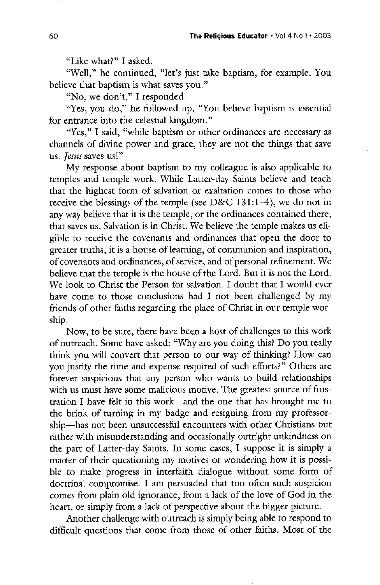"Like what?" I asked.

"Well," he continued, "let's just take baptism, for example. You believe that baptism is what saves you."

"No, we don't," I responded.

"Yes, you do," he followed up. "You believe baptism is essential for entrance into the celestial kingdom

"Yes," I said, "while baptism or other ordinances are necessary as channels of divine power and grace, they are not the things that save us. *Jesus* saves us!"

my response about baptism to my colleague is also applicable to temples and temple work. While Latter-day Saints believe and teach that the highest form of salvation or exaltation comes to those who receive the blessings of the temple (see  $D&C 131:1-4$ ), we do not in any way believe that it is the temple, or the ordinances contained there, that saves us. Salvation is in Christ. We believe the temple makes us eligible to receive the covenants and ordinances that open the door to greater truths; it is a house of learning, of communion and inspiration, of covenants and ordinances, of service, and of personal refinement. We believe that the temple is the house of the Lord. But it is not the Lord. We look to Christ the Person for salvation. I doubt that I would ever

have come to those conclusions had I not been challenged by my friends of other faiths regarding the place of christ in our temple worship

Now, to be sure, there have been a host of challenges to this work of outreach. Some have asked: "Why are you doing this? Do you really think you will convert that person to our way of thinking? How can you justify the time and expense required of such efforts?" Others are forever suspicious that any person who wants to build relationships with us must have some malicious motive. The greatest source of frustration I have felt in this work—and the one that has brought me to the brink of turning in my badge and resigning from my professorship—has not been unsuccessful encounters with other Christians but rather with misunderstanding and occasionally outright unkindness on the part of Latter-day Saints. In some cases, I suppose it is simply a matter of their questioning my motives or wondering how it is possible to make progress in interfaith dialogue without some form of doctrinal compromise. I am persuaded that too often such suspicion comes from plain old ignorance, from a lack of the love of God in the heart, or simply from a lack of perspective about the bigger picture.

Another challenge with outreach is simply being able to respond to difficult questions that come from those of other faiths. Most of the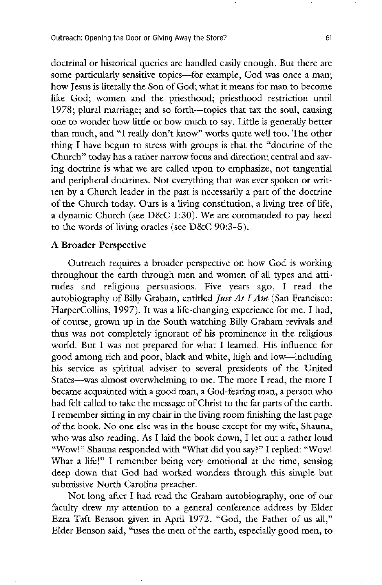doctrinal or historical queries are handled easily enough. But there are some particularly sensitive topics—for example, God was once a man; how Jesus is literally the Son of God; what it means for man to become like God; women and the priesthood; priesthood restriction until 1978; plural marriage; and so forth—topics that tax the soul, causing one to wonder how little or how much to say. Little is generally better than much, and "I really don't know" works quite well too. The other thing I have begun to stress with groups is that the "doctrine of the Church" today has a rather narrow focus and direction; central and saving doctrine is what we are called upon to emphasize, not tangential and peripheral doctrines. Not everything that was ever spoken or written by a church leader in the past is necessarily a part of the doctrine of the Church today. Ours is a living constitution, a living tree of life, a dynamic Church (see  $D&C$  1:30). We are commanded to pay heed to the words of living oracles (see  $D&C$  90:3-5).

## A broader perspective

Outreach requires a broader perspective on how God is working throughout the earth through men and women of all types and attitudes and religious persuasions. Five years ago, I read the autobiography of Billy Graham, entitled *Just As I Am* (San Francisco: HarperCollins, 1997). It was a life-changing experience for me. I had, of course, grown up in the South watching Billy Graham revivals and thus was not completely ignorant of his prominence in the religious world. But I was not prepared for what I learned. His influence for good among rich and poor, black and white, high and low—including his service as spiritual adviser to several presidents of the United States—was almost overwhelming to me. The more I read, the more I became acquainted with a good man, a God-fearing man, a person who had felt called to take the message of Christ to the far parts of the earth. I remember sitting in my chair in the living room finishing the last page of the book. No one else was in the house except for my wife, Shauna, who was also reading. As I laid the book down, I let out a rather loud "Wow!" Shauna responded with "What did you say?" I replied: "Wow!" What a life!" I remember being very emotional at the time, sensing deep down that God had worked wonders through this simple but submissive North Carolina preacher. Not long after I had read the Graham autobiography, one of our faculty drew my attention to a general conference address by Elder Ezra Taft Benson given in April 1972. "God, the Father of us all," Elder Benson said, "uses the men of the earth, especially good men, to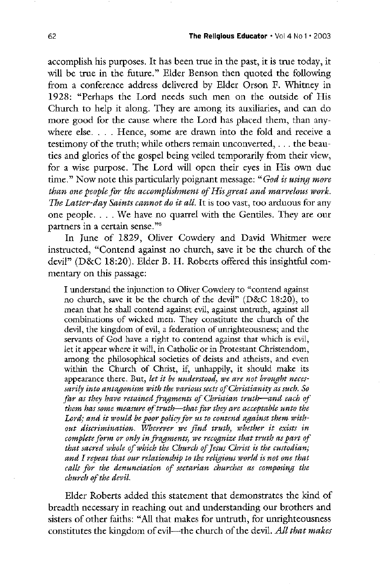accomplish his purposes. It has been true in the past, it is true today, it will be true in the future." Elder Benson then quoted the following from a conference address delivered by Elder Orson F. Whitney in 1928: "Perhaps the Lord needs such men on the outside of His Church to help it along. They are among its auxiliaries, and can do more good for the cause where the Lord has placed them, than anywhere else. . . . Hence, some are drawn into the fold and receive a testimony of the truth; while others remain unconverted,  $\dots$  the beauties and glories of the gospel being veiled temporarily from their view for a wise purpose. The Lord will open their eyes in His own due time." Now note this particularly poignant message: "God is using more than one people for the accomplishment of His great and marvelous work. The Latter-day Saints cannot do it all. It is too vast, too arduous for any one people. . . . We have no quarrel with the Gentiles. They are our partners in a certain sense."<sup>5</sup>

In June of 1829, Oliver Cowdery and David Whitmer were instructed, "Contend against no church, save it be the church of the devil" (D&C 18:20). Elder B. H. Roberts offered this insightful commentary on this passage:

I understand the injunction to Oliver Cowdery to "contend against no church, save it be the church of the devil"  $(D&C 18:20)$ , to mean that he shall contend against evil, against untruth, against all combinations of wicked men. They constitute the church of the devil, the kingdom of evil, a federation of unrighteousness; and the servants of God have a right to contend against that which is evil, let it appear where it will, in Catholic or in Protestant Christendom, among the philosophical societies of deists and atheists, and even within the Church of Christ, if, unhappily, it should make its appearance there. But, let it be understood, we are not brought necessarily into antagonism with the various sects of Christianity as such. So far as they have retained fragments of Christian truth—and each of them has some measure of truth—that far they are acceptable unto the Lord; and it would be poor policy for us to contend against them without discrimination. Wherever we find truth, whether it exists in complete form or only in fragments, we recognize that truth as part of that sacred whole of which the Church of Jesus Christ is the custodian; and I repeat that our relationship to the religious world is not one that calls for the denunciation of sectarian churches as composing the church of the devil

Elder Roberts added this statement that demonstrates the kind of breadth necessary in reaching out and understanding our brothers and sisters of other faiths: "All that makes for untruth, for unrighteousness constitutes the kingdom of evil—the church of the devil. All that makes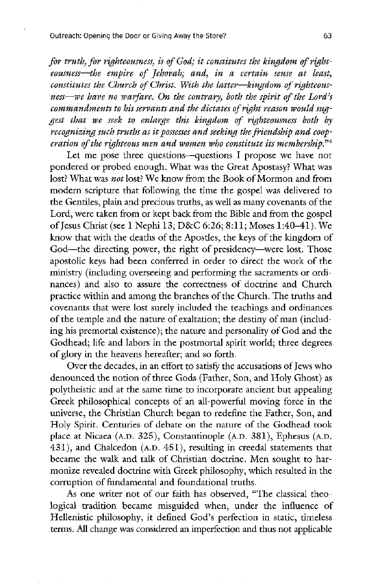for truth, for righteousness, is of God; it constitutes the kingdom of righteousness—the empire of Jehovah; and, in a certain sense at least, constitutes the Church of Christ. With the latter—kingdom of righteousness—we have no warfare. On the contrary, both the spirit of the Lord's commandments to his servants and the dictates of right reason would suggest that we seek to enlarge this kingdom of righteousness both by recognizing such truths as it possesses and seeking the friendship and cooperation of the righteous men and women who constitute its membership."<sup>6</sup>

Let me pose three questions—questions I propose we have not pondered or probed enough. What was the Great Apostasy? What was lost? What was not lost? We know from the Book of Mormon and from modern scripture that following the time the gospel was delivered to the Gentiles, plain and precious truths, as well as many covenants of the Lord, were taken from or kept back from the Bible and from the gospel of Jesus Christ (see 1 Nephi 13; D&C 6:26; 8:11; Moses 1:40–41). We know that with the deaths of the Apostles, the keys of the kingdom of God—the directing power, the right of presidency—were lost. Those apostolic keys had been conferred in order to direct the work of the ministry (including overseeing and performing the sacraments or ordinances) and also to assure the correctness of doctrine and Church practice within and among the branches of the Church. The truths and covenants that were lost surely included the teachings and ordinances of the temple and the nature of exaltation; the destiny of man (including his premortal existence); the nature and personality of God and the Godhead; life and labors in the postmortal spirit world; three degrees of glory in the heavens hereafter; and so forth. Over the decades, in an effort to satisfy the accusations of Jews who denounced the notion of three Gods (Father, Son, and Holy Ghost) as polytheistic and at the same time to incorporate ancient but appealing Greek philosophical concepts of an all-powerful moving force in the universe, the Christian Church began to redefine the Father, Son, and Holy Spirit. Centuries of debate on the nature of the Godhead took place at Nicaea (A.D. 325), Constantinople (A.D. 381), Ephesus (A.D. 431), and Chalcedon (A.D. 451), resulting in creedal statements that became the walk and talk of Christian doctrine. Men sought to harmonize revealed doctrine with Greek philosophy, which resulted in the corruption of fundamental and foundational truths As one writer not of our faith has observed, "The classical theological tradition became misguided when, under the influence of Hellenistic philosophy, it defined God's perfection in static, timeless terms. All change was considered an imperfection and thus not applicable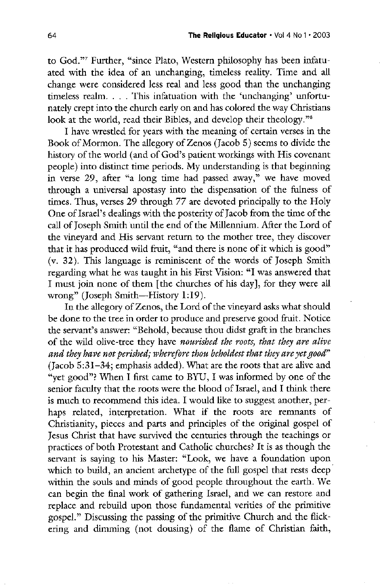to God."<sup>7</sup> Further, "since Plato, Western philosophy has been infatu ated with the idea of an unchanging, timeless reality. Time and all change were considered less real and less good than the unchanging timeless realm.  $\ldots$ . This infatuation with the 'unchanging' unfortunately crept into the church early on and has colored the way christians look at the world, read their Bibles, and develop their theology."<sup>8</sup>

I have wrestled for years with the meaning of certain verses in the Book of Mormon. The allegory of Zenos (Jacob 5) seems to divide the history of the world (and of God's patient workings with His covenant people) into distinct time periods. My understanding is that beginning in verse 29, after "a long time had passed away," we have moved through a universal apostasy into the dispensation of the fulness of times. Thus, verses 29 through 77 are devoted principally to the Holy One of Israel's dealings with the posterity of Jacob from the time of the call of Joseph Smith until the end of the Millennium. After the Lord of the vineyard and His servant return to the mother tree, they discover that it has produced wild fruit, "and there is none of it which is good"  $(v. 32)$ . This language is reminiscent of the words of Joseph Smith regarding what he was taught in his First Vision: "I was answered that I must join none of them [the churches of his day], for they were all

wrong" (Joseph Smith—History 1:19).

In the allegory of Zenos, the Lord of the vineyard asks what should be done to the tree in order to produce and preserve good fruit. Notice the servant's answer: "Behold, because thou didst graft in the branches of the wild olive-tree they have nourished the roots, that they are alive and they have not perished; wherefore thou beholdest that they are yet good" (Jacob  $5:31-34$ ; emphasis added). What are the roots that are alive and "yet good"? When I first came to BYU, I was informed by one of the senior faculty that the roots were the blood of Israel, and I think there is much to recommend this idea. I would like to suggest another, perhaps related, interpretation. What if the roots are remnants of Christianity, pieces and parts and principles of the original gospel of jesus christ that have survived the centuries through the teachings or practices of both Protestant and Catholic churches? It is as though the servant is saying to his Master: "Look, we have a foundation upon which to build, an ancient archetype of the full gospel that rests deep within the souls and minds of good people throughout the earth. We can begin the final work of gathering Israel, and we can restore and replace and rebuild upon those fundamental verities of the primitive gospel." Discussing the passing of the primitive Church and the flickering and dimming (not dousing) of the flame of Christian faith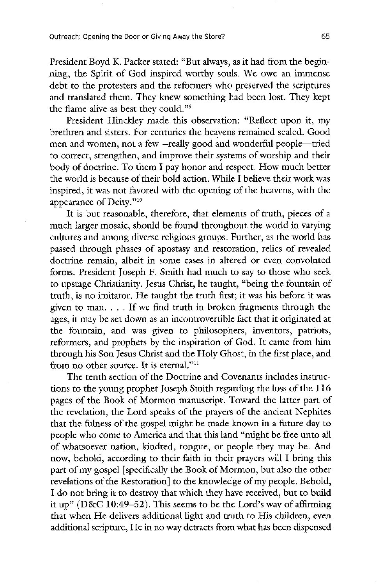President Boyd K. Packer stated: "But always, as it had from the beginning, the Spirit of God inspired worthy souls. We owe an immense debt to the protesters and the reformers who preserved the scriptures and translated them. They knew something had been lost. They kept the flame alive as best they could."<sup>9</sup>

President Hinckley made this observation: "Reflect upon it, my brethren and sisters. For centuries the heavens remained sealed. Good men and women, not a few—really good and wonderful people—tried to correct, strengthen, and improve their systems of worship and their body of doctrine. To them I pay honor and respect. How much better the world is because of their bold action. While I believe their work was inspired, it was not favored with the opening of the heavens, with the appearance of Deity."<sup>10</sup>

It is but reasonable, therefore, that elements of truth, pieces of a much larger mosaic, should be found throughout the world in varying cultures and among diverse religious groups. Further, as the world has passed through phases of apostasy and restoration, relics of revealed doctrine remain, albeit in some cases in altered or even convoluted forms. President Joseph F. Smith had much to say to those who seek to upstage Christianity. Jesus Christ, he taught, "being the fountain of truth, is no imitator. He taught the truth first; it was his before it was given to man.  $\ldots$  If we find truth in broken fragments through the ages, it may be set down as an incontrovertible fact that it originated at the fountain, and was given to philosophers, inventors, patriots, reformers, and prophets by the inspiration of God. It came from him through his Son Jesus Christ and the Holy Ghost, in the first place, and from no other source. It is eternal. $"$ <sup>11</sup> The tenth section of the Doctrine and Covenants includes instructions to the young prophet joseph smith regarding the loss of the 116 pages of the Book of Mormon manuscript. Toward the latter part of the revelation, the Lord speaks of the prayers of the ancient Nephites that the fulness of the gospel might be made known in a future day to people who come to America and that this land "might be free unto all of whatsoever nation, kindred, tongue, or people they may be. And now, behold, according to their faith in their prayers will I bring this part of my gospel [specifically the Book of Mormon, but also the other revelations of the Restoration to the knowledge of my people. Behold, I do not bring it to destroy that which they have received, but to build it up" ( $D&C$  10:49–52). This seems to be the Lord's way of affirming that when He delivers additional light and truth to His children, even additional scripture, He in no way detracts from what has been dispensed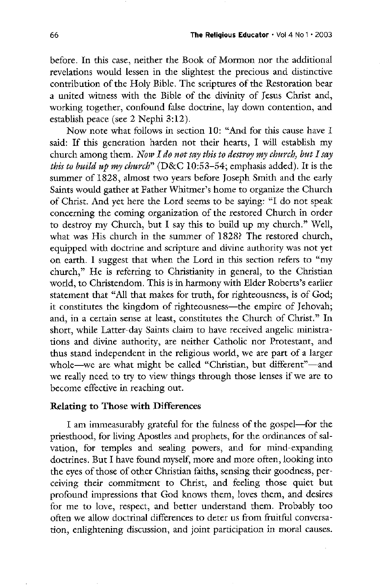before. In this case, neither the Book of Mormon nor the additional revelations would lessen in the slightest the precious and distinctive contribution of the Holy Bible. The scriptures of the Restoration bear a united witness with the bible of the divinity of jesus christ and working together, confound false doctrine, lay down contention, and establish peace (see  $2$  Nephi  $3:12$ ).

Now note what follows in section 10: "And for this cause have I said: If this generation harden not their hearts, I will establish my church among them. Now I do not say this to destroy my church, but I say this to build up my church" ( $D\&C 10:53-54$ ; emphasis added). It is the summer of 1828, almost two years before Joseph Smith and the early Saints would gather at Father Whitmer's home to organize the Church of Christ. And yet here the Lord seems to be saying: "I do not speak concerning the coming organization of the restored church in order to destroy my Church, but I say this to build up my church." Well, what was His church in the summer of 1828? The restored church, equipped with doctrine and scripture and divine authority was not yet on earth. I suggest that when the Lord in this section refers to "my church," He is referring to Christianity in general, to the Christian world, to Christendom. This is in harmony with Elder Roberts's earlier statement that "All that makes for truth, for righteousness, is of God; it constitutes the kingdom of righteousness—the empire of Jehovah; and, in a certain sense at least, constitutes the Church of Christ." In short, while Latter-day Saints claim to have received angelic ministrations and divine authority, are neither Catholic nor Protestant, and thus stand independent in the religious world, we are part of a larger whole—we are what might be called "Christian, but different"—and we really need to try to view things through those lenses if we are to become effective in reaching out

## Relating to Those with Differences

I am immeasurably grateful for the fulness of the gospel—for the priesthood, for living Apostles and prophets, for the ordinances of salvation, for temples and sealing powers, and for mind-expanding doctrines. But I have found myself, more and more often, looking into the eyes of those of other Christian faiths, sensing their goodness, perceiving their commitment to Christ, and feeling those quiet but profound impressions that God knows them, loves them, and desires for me to love, respect, and better understand them. Probably too often we allow doctrinal differences to deter us from fruitful conversation, enlightening discussion, and joint participation in moral causes.

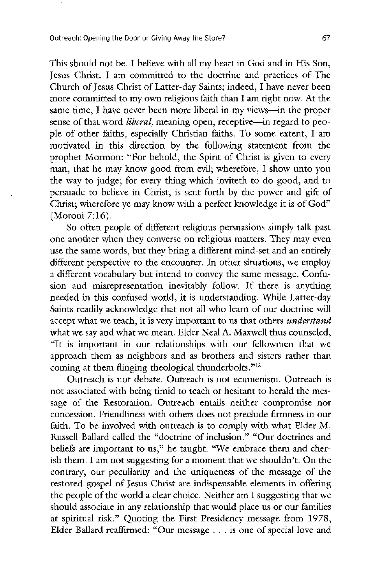This should not be. I believe with all my heart in God and in His Son, Jesus Christ. I am committed to the doctrine and practices of The Church of Jesus Christ of Latter-day Saints; indeed, I have never been more committed to my own religious faith than I am right now. At the same time, I have never been more liberal in my views—in the proper sense of that word *liberal*, meaning open, receptive—in regard to people of other faiths, especially Christian faiths. To some extent, I am motivated in this direction by the following statement from the prophet Mormon: "For behold, the Spirit of Christ is given to every man, that he may know good from evil; wherefore, I show unto you the way to judge; for every thing which inviteth to do good, and to persuade to believe in Christ, is sent forth by the power and gift of Christ; wherefore ye may know with a perfect knowledge it is of God"  $(Moroni 7:16)$ .

so often people of different religious persuasions simply talk past one another when they converse on religious matters. They may even use the same words, but they bring a different mind-set and an entirely different perspective to the encounter. In other situations, we employ a different vocabulary but intend to convey the same message. Confusion and misrepresentation inevitably follow. If there is anything needed in this confused world, it is understanding. While Latter-day saints readily acknowledge that not all who learn of our doctrine will accept what we teach, it is very important to us that others understand what we say and what we mean. Elder Neal A. Maxwell thus counseled, it is important in our relationships with our fellowmen that we approach them as neighbors and as brothers and sisters rather than coming at them flinging theological thunderbolts. $12<sup>12</sup>$ Outreach is not debate. Outreach is not ecumenism. Outreach is not associated with being timid to teach or hesitant to herald the message of the Restoration. Outreach entails neither compromise nor concession. Friendliness with others does not preclude firmness in our faith. To be involved with outreach is to comply with what Elder M. Russell Ballard called the "doctrine of inclusion." "Our doctrines and beliefs are important to us," he taught. "We embrace them and cherish them. I am not suggesting for a moment that we shouldn't. On the contrary, our peculiarity and the uniqueness of the message of the restored gospel of jesus christ are indispensable elements in offering the people of the world a clear choice. Neither am I suggesting that we should associate in any relationship that would place us or our families at spiritual risk." Quoting the First Presidency message from 1978, Elder Ballard reaffirmed: "Our message . . . is one of special love and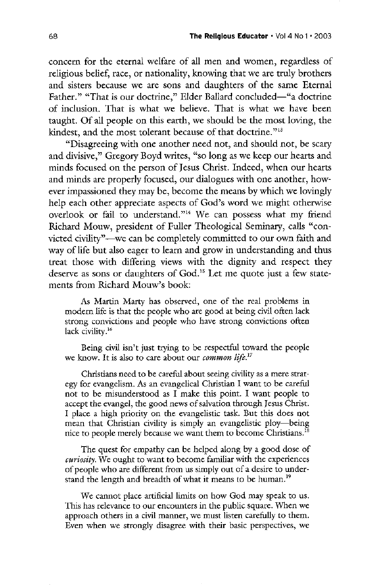concern for the eternal welfare of all men and women, regardless of religious belief, race, or nationality, knowing that we are truly brothers and sisters because we are sons and daughters of the same Eternal Father." "That is our doctrine," Elder Ballard concluded—"a doctrine of inclusion. That is what we believe. That is what we have been taught. Of all people on this earth, we should be the most loving, the kindest, and the most tolerant because of that doctrine."<sup>13</sup>

"Disagreeing with one another need not, and should not, be scary and divisive," Gregory Boyd writes, "so long as we keep our hearts and minds focused on the person of Jesus Christ. Indeed, when our hearts and minds are properly focused, our dialogues with one another, however impassioned they may be, become the means by which we lovingly help each other appreciate aspects of God's word we might otherwise overlook or fail to understand."<sup>14</sup> We can possess what my friend Richard Mouw, president of Fuller Theological Seminary, calls "convicted civility"—we can be completely committed to our own faith and way of life but also eager to learn and grow in understanding and thus treat those with differing views with the dignity and respect they deserve as sons or daughters of God.<sup>15</sup> Let me quote just a few statements from Richard Mouw's book:

As Martin Marty has observed, one of the real problems in modern life is that the people who are good at being civil often lack strong convictions and people who have strong convictions often lack civility.<sup>16</sup>

Being civil isn't just trying to be respectful toward the people we know. It is also to care about our *common life*.<sup>17</sup>

christians need to be careful about seeing civility as a mere strat egy for evangelism. As an evangelical Christian I want to be careful not to be misunderstood as I make this point. I want people to accept the evangel, the good news of salvation through Jesus Christ. I place a high priority on the evangelistic task. But this does not mean that Christian civility is simply an evangelistic ploy-being nice to people merely because we want them to become Christians.<sup>18</sup>

The quest for empathy can be helped along by a good dose of curiosity. We ought to want to become familiar with the experiences of people who are different from us simply out of a desire to understand the length and breadth of what it means to be human.<sup>19</sup>

We cannot place artificial limits on how God may speak to us. This has relevance to our encounters in the public square. When we approach others in a civil manner, we must listen carefully to them. Even when we strongly disagree with their basic perspectives, we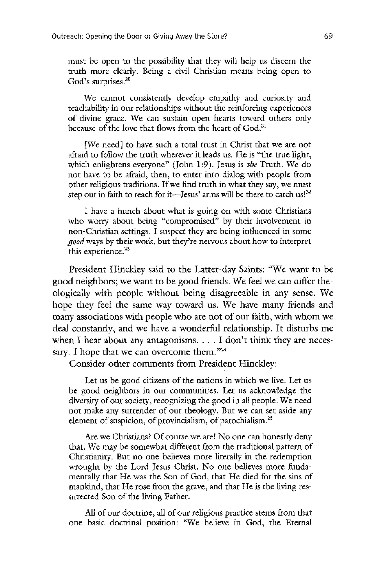must be open to the possibility that they will help us discern the truth more clearly. Being a civil Christian means being open to God's surprises. $20$ 

We cannot consistently develop empathy and curiosity and teachability in our relationships without the reinforcing experiences of divine grace. We can sustain open hearts toward others only because of the love that flows from the heart of God.<sup>21</sup>

[We need] to have such a total trust in Christ that we are not afraid to follow the truth wherever it leads us. He is "the true light, which enlightens everyone" (John 1:9). Jesus is the Truth. We do not have to be afraid, then, to enter into dialog with people from other religious traditions. If we find truth in what they say, we must step out in faith to reach for it-Jesus' arms will be there to catch us! $^{22}$ 

I have a hunch about what is going on with some Christians who worry about being "compromised" by their involvement in non-Christian settings. I suspect they are being influenced in some good ways by their work, but they're nervous about how to interpret this experience. $23$ 

President Hinckley said to the Latter-day Saints: "We want to be good neighbors; we want to be good friends. We feel we can differ the ologically with people without being disagreeable in any sense. We hope they feel the same way toward us. We have many friends and many associations with people who are not of our faith, with whom we deal constantly, and we have a wonderful relationship. It disturbs me when I hear about any antagonisms.  $\ldots$  I don't think they are necessary. I hope that we can overcome them." $24$ 

Consider other comments from President Hinckley:

Let us be good citizens of the nations in which we live. Let us be good neighbors in our communities. Let us acknowledge the diversity of our society, recognizing the good in all people. We need not make any surrender of our theology. But we can set aside any element of suspicion, of provincialism, of parochialism.<sup>25</sup>

Are we Christians? Of course we are! No one can honestly deny that. We may be somewhat different from the traditional pattern of Christianity. But no one believes more literally in the redemption wrought by the Lord Jesus Christ. No one believes more fundamentally that He was the Son of God, that He died for the sins of mankind, that He rose from the grave, and that He is the living resurrected Son of the living Father.

All of our doctrine, all of our religious practice stems from that one basic doctrinal position: "We believe in God, the Eternal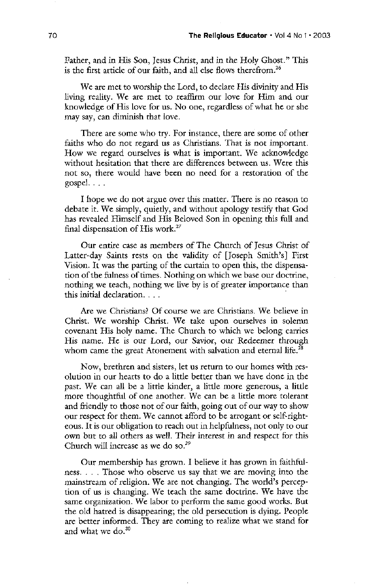Father, and in His Son, Jesus Christ, and in the Holy Ghost." This is the first article of our faith, and all else flows therefrom.<sup>26</sup>

We are met to worship the Lord, to declare His divinity and His living reality. We are met to reaffirm our love for Him and our knowledge of His love for us. No one, regardless of what he or she may say, can diminish that love.

There are some who try. For instance, there are some of other faiths who do not regard us as Christians. That is not important. How we regard ourselves is what is important. We acknowledge without hesitation that there are differences between us. Were this not so, there would have been no need for a restoration of the gospel

I hope we do not argue over this matter. There is no reason to debate it. We simply, quietly, and without apology testify that God has revealed Himself and His Beloved Son in opening this full and final dispensation of His work. $27$ 

Our entire case as members of The Church of Jesus Christ of Latter-day Saints rests on the validity of [Joseph Smith's] First Vision. It was the parting of the curtain to open this, the dispensation of the fulness of times. Nothing on which we base our doctrine, nothing we teach, nothing we live by is of greater importance than

this initial declaration. . . .

Are we Christians? Of course we are Christians. We believe in Christ. We worship Christ. We take upon ourselves in solemn covenant His holy name. The Church to which we belong carries His name. He is our Lord, our Savior, our Redeemer through whom came the great Atonement with salvation and eternal life.<sup>28</sup>

Now, brethren and sisters, let us return to our homes with resolution in our hearts to do a little better than we have done in the past. We can all be a little kinder, a little more generous, a little more thoughtful of one another. We can be a little more tolerant and friendly to those not of our faith, going out of our way to show our respect for them. We cannot afford to be arrogant or self-righteous. It is our obligation to reach out in helpfulness, not only to our own but to all others as well. Their interest in and respect for this Church will increase as we do so.<sup>29</sup>

Our membership has grown. I believe it has grown in faithfulness.  $\ldots$ . Those who observe us say that we are moving into the mainstream of religion. We are not changing. The world's perception of us is changing. We teach the same doctrine. We have the same organization. We labor to perform the same good works. But the old hatred is disappearing; the old persecution is dying. People are better informed. They are coming to realize what we stand for and what we do.<sup>30</sup>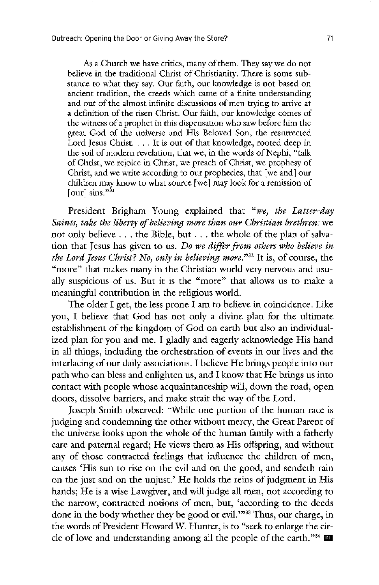As a Church we have critics, many of them. They say we do not believe in the traditional Christ of Christianity. There is some substance to what they say. Our faith, our knowledge is not based on ancient tradition, the creeds which came of a finite understanding and out of the almost infinite discussions of men trying to arrive at a definition of the risen Christ. Our faith, our knowledge comes of the witness of a prophet in this dispensation who saw before him the great God of the universe and His Beloved Son, the resurrected Lord Jesus Christ. . . . It is out of that knowledge, rooted deep in the soil of modern revelation, that we, in the words of Nephi, "talk of Christ, we rejoice in Christ, we preach of Christ, we prophesy of Christ, and we write according to our prophecies, that [we and] our children may know to what source  $[we]$  may look for a remission of [our] sins.<sup> $n^{31}$ </sup>

President Brigham Young explained that "we, the Latter-day Saints, take the liberty of believing more than our Christian brethren: we not only believe  $\ldots$  the Bible, but  $\ldots$  the whole of the plan of salvation that Jesus has given to us. Do we differ from others who believe in the Lord Jesus Christ? No, only in believing more."<sup>32</sup> It is, of course, the "more" that makes many in the Christian world very nervous and usually suspicious of us. But it is the "more" that allows us to make a

meaningful contribution in the religious world

The older I get, the less prone I am to believe in coincidence. Like you, I believe that God has not only a divine plan for the ultimate establishment of the kingdom of God on earth but also an individualized plan for you and me. I gladly and eagerly acknowledge His hand in all things, including the orchestration of events in our lives and the interlacing of our daily associations. I believe He brings people into our path who can bless and enlighten us, and I know that He brings us into contact with people whose acquaintanceship will, down the road, open doors, dissolve barriers, and make strait the way of the Lord.

Joseph Smith observed: "While one portion of the human race is judging and condemning the other without mercy, the Great Parent of the universe looks upon the whole of the human family with a fatherly care and paternal regard; He views them as His offspring, and without any of those contracted feelings that influence the children of men causes 'His sun to rise on the evil and on the good, and sendeth rain on the just and on the unjust.' He holds the reins of judgment in His hands; He is a wise Lawgiver, and will judge all men, not according to the narrow, contracted notions of men, but, 'according to the deeds done in the body whether they be good or evil.<sup>2733</sup> Thus, our charge, in the words of President Howard W. Hunter, is to "seek to enlarge the circle of love and understanding among all the people of the earth."<sup>34</sup>  $\blacksquare$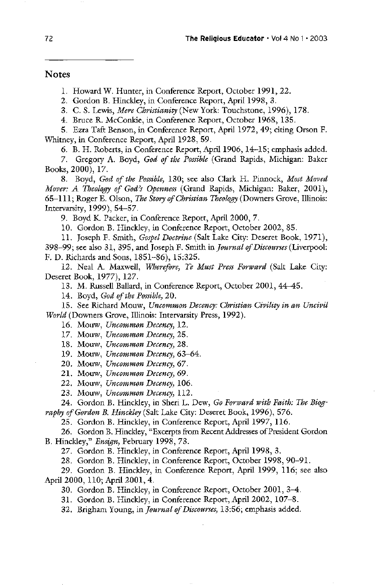### **Notes**

 $\sim$   $\sim$ 

1. Howard W. Hunter, in Conference Report, October 1991, 22.

2. Gordon B. Hinckley, in Conference Report, April 1998, 3.

3. C. S. Lewis, Mere Christianity (New York: Touchstone, 1996), 178.

4. Bruce R. McConkie, in Conference Report, October 1968, 135.

5. Ezra Taft Benson, in Conference Report, April 1972, 49; citing Orson F. Whitney, in Conference Report, April 1928, 59.

6. B. H. Roberts, in Conference Report, April 1906, 14-15; emphasis added.

7. Gregory A. Boyd, God of the Possible (Grand Rapids, Michigan: Baker Books, 2000), 17.

8. Boyd, God of the Possible, 130; see also Clark H. Pinnock, Most Moved Mover: A Theology of God's Openness (Grand Rapids, Michigan: Baker, 2001), 65–111; Roger E. Olson, The Story of Christian Theology (Downers Grove, Illinois: Intervarsity, 1999), 54-57.

9. Boyd K. Packer, in Conference Report, April 2000, 7.

10. Gordon B. Hinckley, in Conference Report, October 2002, 85.

11. Joseph F. Smith, Gospel Doctrine (Salt Lake City: Deseret Book, 1971), 398–99; see also 31, 395, and Joseph F. Smith in *Journal of Discourses* (Liverpool: F. D. Richards and Sons, 1851-86), 15:325.

12. Neal A. Maxwell, Wherefore, Ye Must Press Forward (Salt Lake City: Deseret Book, 1977), 127.

13. M. Russell Ballard, in Conference Report, October 2001, 44-45.

14. Boyd, God of the Possible, 20.

15. See Richard Mouw, Uncommon Decency: Christian Civility in an Uncivil World (Downers Grove, Illinois: Intervarsity Press, 1992).

16. Mouw, Uncommon Decency, 12.

17. Mouw, Uncommon Decency, 25.

18. Mouw, Uncommon Decency, 28.

19. Mouw, Uncommon Decency,  $63-64$ .

20. Mouw, Uncommon Decency, 67.

21. Mouw, Uncommon Decency, 69.

22. Mouw, Uncommon Decency, 106.

23. Mouw, Uncommon Decency, 112.

24. Gordon B. Hinckley, in Sheri L. Dew, Go Forward with Faith: The Biography of Gordon B. Hinckley (Salt Lake City: Deseret Book, 1996), 576.

25. Gordon B. Hinckley, in Conference Report, April 1997, 116.

26. Gordon B. Hinckley, "Excerpts from Recent Addresses of President Gordon B. Hinckley," Ensign, February 1998, 73.

27. Gordon B. Hinckley, in Conference Report, April 1998, 3.

28. Gordon B. Hinckley, in Conference Report, October 1998, 90-91.

29. Gordon B. Hinckley, in Conference Report, April 1999, 116; see also April 2000, 110; April 2001, 4.

30. Gordon B. Hinckley, in Conference Report, October 2001, 3-4.

31. Gordon B. Hinckley, in Conference Report, April 2002, 107-8.

32. Brigham Young, in Journal of Discourses, 13:56; emphasis added.